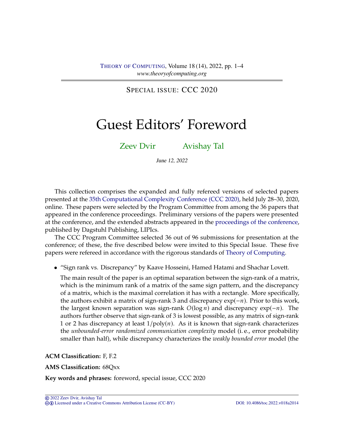SPECIAL ISSUE: CCC 2020

# Guest Editors' Foreword

[Zeev Dvir](#page-3-0) [Avishay Tal](#page-3-1)

June 12, 2022

This collection comprises the expanded and fully refereed versions of selected papers presented at the [35th Computational Complexity Conference \(CCC 2020\),](http://www.computationalcomplexity.org/Archive/2020/program.php) held July 28–30, 2020, online. These papers were selected by the Program Committee from among the 36 papers that appeared in the conference proceedings. Preliminary versions of the papers were presented at the conference, and the extended abstracts appeared in the [proceedings of the conference,](https://drops.dagstuhl.de/opus/portals/lipics/index.php?semnr=16155) published by Dagstuhl Publishing, LIPIcs.

The CCC Program Committee selected 36 out of 96 submissions for presentation at the conference; of these, the five described below were invited to this Special Issue. These five papers were refereed in accordance with the rigorous standards of [Theory of Computing.](https://doi.org/10.4086/toc)

• "Sign rank vs. Discrepancy" by Kaave Hosseini, Hamed Hatami and Shachar Lovett.

The main result of the paper is an optimal separation between the sign-rank of a matrix, which is the minimum rank of a matrix of the same sign pattern, and the discrepancy of a matrix, which is the maximal correlation it has with a rectangle. More specifically, the authors exhibit a matrix of sign-rank 3 and discrepancy  $exp(-n)$ . Prior to this work, the largest known separation was sign-rank  $O(\log n)$  and discrepancy exp(−*n*). The authors further observe that sign-rank of 3 is lowest possible, as any matrix of sign-rank 1 or 2 has discrepancy at least  $1/poly(n)$ . As it is known that sign-rank characterizes the *unbounded-error randomized communication complexity* model (i. e., error probability smaller than half), while discrepancy characterizes the *weakly bounded error* model (the

**ACM Classification:** F, F.2

**AMS Classification:** 68Qxx

**Key words and phrases:** foreword, special issue, CCC 2020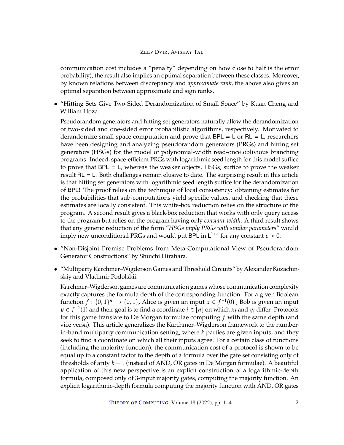## ZEEV DVIR, AVISHAY TAL

communication cost includes a "penalty" depending on how close to half is the error probability), the result also implies an optimal separation between these classes. Moreover, by known relations between discrepancy and *approximate rank*, the above also gives an optimal separation between approximate and sign ranks.

• "Hitting Sets Give Two-Sided Derandomization of Small Space" by Kuan Cheng and William Hoza.

Pseudorandom generators and hitting set generators naturally allow the derandomization of two-sided and one-sided error probabilistic algorithms, respectively. Motivated to derandomize small-space computation and prove that  $BPL = L$  or  $RL = L$ , researchers have been designing and analyzing pseudorandom generators (PRGs) and hitting set generators (HSGs) for the model of polynomial-width read-once oblivious branching programs. Indeed, space-efficient PRGs with logarithmic seed length for this model suffice to prove that BPL = L, whereas the weaker objects, HSGs, suffice to prove the weaker result  $RL = L$ . Both challenges remain elusive to date. The surprising result in this article is that hitting set generators with logarithmic seed length suffice for the derandomization of BPL! The proof relies on the technique of local consistency: obtaining estimates for the probabilities that sub-computations yield specific values, and checking that these estimates are locally consistent. This white-box reduction relies on the structure of the program. A second result gives a black-box reduction that works with only query access to the program but relies on the program having only *constant-width*. A third result shows that any generic reduction of the form *"HSGs imply PRGs with similar parameters"* would imply new unconditional PRGs and would put BPL in  $L^{1+\epsilon}$  for any constant  $\epsilon > 0$ .

- "Non-Disjoint Promise Problems from Meta-Computational View of Pseudorandom Generator Constructions" by Shuichi Hirahara.
- "Multiparty Karchmer–Wigderson Games and Threshold Circuits" by Alexander Kozachinskiy and Vladimir Podolskii.

Karchmer–Wigderson games are communication games whose communication complexity exactly captures the formula depth of the corresponding function. For a given Boolean function  $\hat{f} : \{0,1\}^n \to \{0,1\}$ , Alice is given an input  $x \in f^{-1}(0)$ , Bob is given an input  $u \in f^{-1}(1)$  and their goal is to find a coordinate  $i \in [u]$  on which  $x_i$  and  $u_j$  differ. Protocols  $y \in f^{-1}(1)$  and their goal is to find a coordinate  $i \in [n]$  on which  $x_i$  and  $y_i$  differ. Protocols for this game translate to De Morgan formulae computing f with the same denth (and for this game translate to De Morgan formulae computing  $f$  with the same depth (and vice versa). This article generalizes the Karchmer–Wigderson framework to the numberin-hand multiparty communication setting, where  $k$  parties are given inputs, and they seek to find a coordinate on which all their inputs agree. For a certain class of functions (including the majority function), the communication cost of a protocol is shown to be equal up to a constant factor to the depth of a formula over the gate set consisting only of thresholds of arity  $k + 1$  (instead of AND, OR gates in De Morgan formulae). A beautiful application of this new perspective is an explicit construction of a logarithmic-depth formula, composed only of 3-input majority gates, computing the majority function. An explicit logarithmic-depth formula computing the majority function with AND, OR gates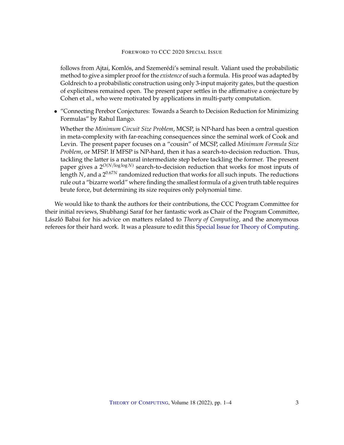#### FOREWORD TO CCC 2020 SPECIAL ISSUE

follows from Ajtai, Komlós, and Szemerédi's seminal result. Valiant used the probabilistic method to give a simpler proof for the *existence* of such a formula. His proof was adapted by Goldreich to a probabilistic construction using only 3-input majority gates, but the question of explicitness remained open. The present paper settles in the affirmative a conjecture by Cohen et al., who were motivated by applications in multi-party computation.

• "Connecting Perebor Conjectures: Towards a Search to Decision Reduction for Minimizing Formulas" by Rahul Ilango.

Whether the *Minimum Circuit Size Problem*, MCSP, is NP-hard has been a central question in meta-complexity with far-reaching consequences since the seminal work of Cook and Levin. The present paper focuses on a "cousin" of MCSP, called *Minimum Formula Size Problem*, or MFSP. If MFSP is NP-hard, then it has a search-to-decision reduction. Thus, tackling the latter is a natural intermediate step before tackling the former. The present paper gives a  $2^{O(N/\log \log N)}$  search-to-decision reduction that works for most inputs of length N, and a 2 $^{0.67N}$  randomized reduction that works for all such inputs. The reductions<br>rule out a "bizarre world" where finding the smallest formula of a given truth table requires rule out a "bizarre world" where finding the smallest formula of a given truth table requires brute force, but determining its size requires only polynomial time.

We would like to thank the authors for their contributions, the CCC Program Committee for their initial reviews, Shubhangi Saraf for her fantastic work as Chair of the Program Committee, László Babai for his advice on matters related to *Theory of Computing*, and the anonymous referees for their hard work. It was a pleasure to edit this [Special Issue for Theory of Computing.](http://theoryofcomputing.org/articles/v016a014)